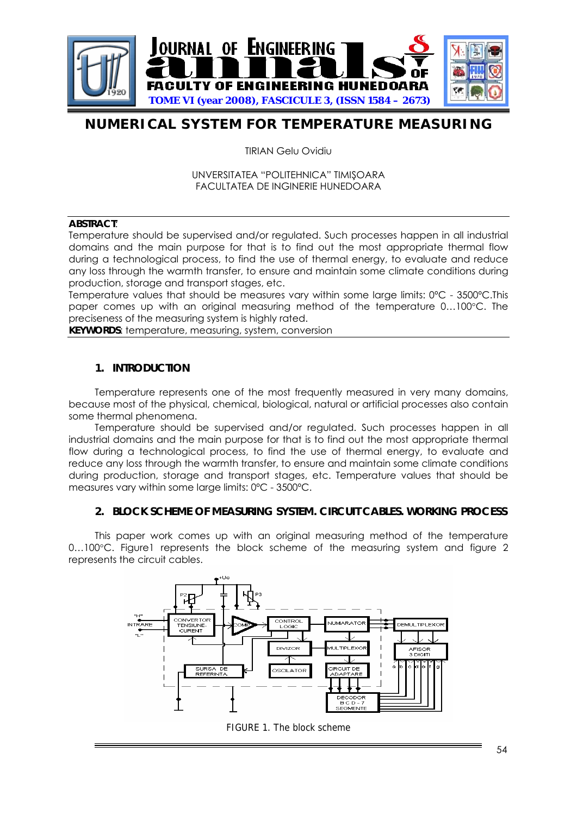

# **NUMERICAL SYSTEM FOR TEMPERATURE MEASURING**

TIRIAN Gelu Ovidiu

UNVERSITATEA "POLITEHNICA" TIMIŞOARA FACULTATEA DE INGINERIE HUNEDOARA

#### **ABSTRACT**:

Temperature should be supervised and/or regulated. Such processes happen in all industrial domains and the main purpose for that is to find out the most appropriate thermal flow during a technological process, to find the use of thermal energy, to evaluate and reduce any loss through the warmth transfer, to ensure and maintain some climate conditions during production, storage and transport stages, etc.

Temperature values that should be measures vary within some large limits: 0ºC - 3500ºC.This paper comes up with an original measuring method of the temperature 0…100°C. The preciseness of the measuring system is highly rated.

**KEYWORDS**: temperature, measuring, system, conversion

## **1. INTRODUCTION**

Temperature represents one of the most frequently measured in very many domains, because most of the physical, chemical, biological, natural or artificial processes also contain some thermal phenomena.

Temperature should be supervised and/or regulated. Such processes happen in all industrial domains and the main purpose for that is to find out the most appropriate thermal flow during a technological process, to find the use of thermal energy, to evaluate and reduce any loss through the warmth transfer, to ensure and maintain some climate conditions during production, storage and transport stages, etc. Temperature values that should be measures vary within some large limits: 0ºC - 3500ºC.

## **2. BLOCK SCHEME OF MEASURING SYSTEM. CIRCUIT CABLES. WORKING PROCESS**

This paper work comes up with an original measuring method of the temperature 0...100°C. Figure1 represents the block scheme of the measuring system and figure 2 represents the circuit cables.



FIGURE 1. The block scheme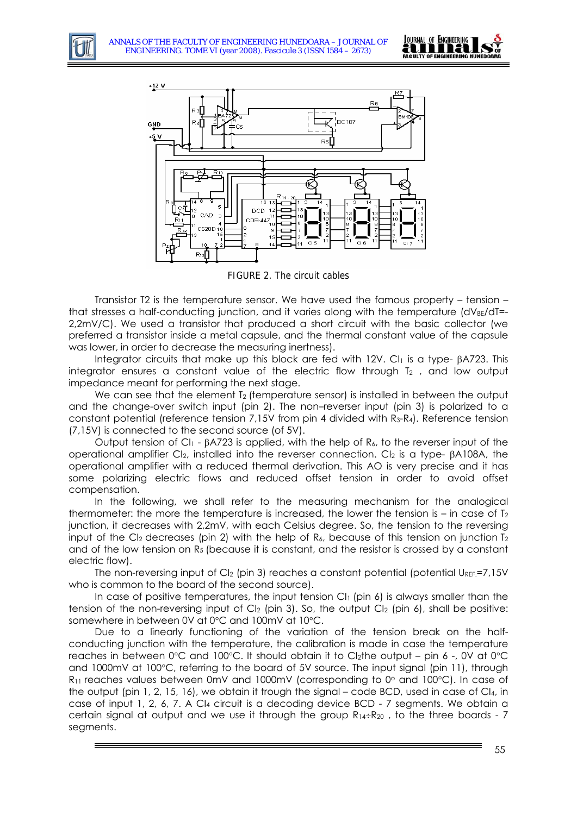



FIGURE 2. The circuit cables

Transistor T2 is the temperature sensor. We have used the famous property – tension – that stresses a half-conducting junction, and it varies along with the temperature  $(dV_{BE}/dT=$ 2,2mV/C). We used a transistor that produced a short circuit with the basic collector (we preferred a transistor inside a metal capsule, and the thermal constant value of the capsule was lower, in order to decrease the measuring inertness).

Integrator circuits that make up this block are fed with 12V. Cl1 is a type- βA723. This integrator ensures a constant value of the electric flow through  $T_2$ , and low output impedance meant for performing the next stage.

We can see that the element  $T_2$  (temperature sensor) is installed in between the output and the change-over switch input (pin 2). The non–reverser input (pin 3) is polarized to a constant potential (reference tension 7,15V from pin 4 divided with  $R_3-R_4$ ). Reference tension (7,15V) is connected to the second source (of 5V).

Output tension of CI1 - βA723 is applied, with the help of R6, to the reverser input of the operational amplifier CI2, installed into the reverser connection. CI2 is a type- βA108A, the operational amplifier with a reduced thermal derivation. This AO is very precise and it has some polarizing electric flows and reduced offset tension in order to avoid offset compensation.

In the following, we shall refer to the measuring mechanism for the analogical thermometer: the more the temperature is increased, the lower the tension is – in case of  $T_2$ junction, it decreases with 2,2mV, with each Celsius degree. So, the tension to the reversing input of the CI<sub>2</sub> decreases (pin 2) with the help of R<sub>6</sub>, because of this tension on junction  $T_2$ and of the low tension on R<sub>5</sub> (because it is constant, and the resistor is crossed by a constant electric flow).

The non-reversing input of CI<sub>2</sub> (pin 3) reaches a constant potential (potential U<sub>REF.</sub>=7,15V who is common to the board of the second source).

In case of positive temperatures, the input tension  $Cl_1$  (pin 6) is always smaller than the tension of the non-reversing input of  $C_{12}$  (pin 3). So, the output  $C_{12}$  (pin 6), shall be positive: somewhere in between 0V at 0°C and 100mV at 10°C.

Due to a linearly functioning of the variation of the tension break on the halfconducting junction with the temperature, the calibration is made in case the temperature reaches in between  $0^{\circ}$ C and  $100^{\circ}$ C. It should obtain it to Cl<sub>2</sub>the output – pin 6 -, 0V at  $0^{\circ}$ C and 1000mV at 100°C, referring to the board of 5V source. The input signal (pin 11), through  $R_{11}$  reaches values between 0mV and 1000mV (corresponding to 0 $\circ$  and 100 $\circ$ C). In case of the output (pin 1, 2, 15, 16), we obtain it trough the signal – code BCD, used in case of CI4, in case of input 1, 2, 6, 7. A CI4 circuit is a decoding device BCD - 7 segments. We obtain a certain signal at output and we use it through the group  $R_{14}$ ÷ $R_{20}$ , to the three boards - 7 segments.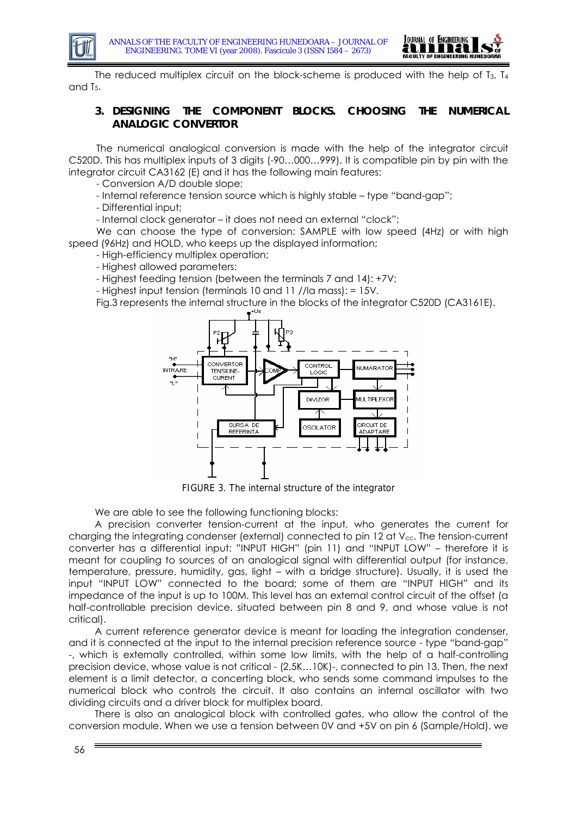



The reduced multiplex circuit on the block-scheme is produced with the help of  $I_3$ ,  $I_4$ and T5.

## **3. DESIGNING THE COMPONENT BLOCKS. CHOOSING THE NUMERICAL ANALOGIC CONVERTOR**

The numerical analogical conversion is made with the help of the integrator circuit C520D. This has multiplex inputs of 3 digits (-90…000…999). It is compatible pin by pin with the integrator circuit CA3162 (E) and it has the following main features:

- Conversion A/D double slope;

- Internal reference tension source which is highly stable – type "band-gap";

- Differential input;

- Internal clock generator – it does not need an external "clock";

We can choose the type of conversion: SAMPLE with low speed (4Hz) or with high speed (96Hz) and HOLD, who keeps up the displayed information;

- High-efficiency multiplex operation;

- Highest allowed parameters:

- Highest feeding tension (between the terminals 7 and 14): +7V;

- Highest input tension (terminals 10 and 11 //la mass): = 15V.

Fig.3 represents the internal structure in the blocks of the integrator C520D (CA3161E).



FIGURE 3. The internal structure of the integrator

We are able to see the following functioning blocks:

A precision converter tension-current at the input, who generates the current for charging the integrating condenser (external) connected to pin 12 at  $V_{cc}$ . The tension-current converter has a differential input: "INPUT HIGH" (pin 11) and "INPUT LOW" – therefore it is meant for coupling to sources of an analogical signal with differential output (for instance, temperature, pressure, humidity, gas, light – with a bridge structure). Usually, it is used the input "INPUT LOW" connected to the board; some of them are "INPUT HIGH" and its impedance of the input is up to 100M. This level has an external control circuit of the offset (a half-controllable precision device, situated between pin 8 and 9, and whose value is not critical).

A current reference generator device is meant for loading the integration condenser, and it is connected at the input to the internal precision reference source - type "band-gap" -, which is externally controlled, within some low limits, with the help of a half-controlling precision device, whose value is not critical - (2,5K…10K)-, connected to pin 13. Then, the next element is a limit detector, a concerting block, who sends some command impulses to the numerical block who controls the circuit. It also contains an internal oscillator with two dividing circuits and a driver block for multiplex board.

There is also an analogical block with controlled gates, who allow the control of the conversion module. When we use a tension between 0V and +5V on pin 6 (Sample/Hold), we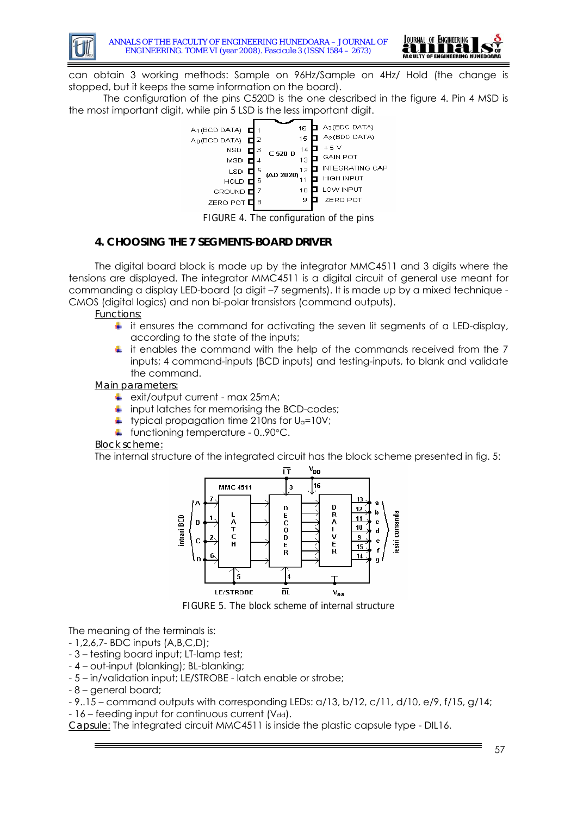



can obtain 3 working methods: Sample on 96Hz/Sample on 4Hz/ Hold (the change is stopped, but it keeps the same information on the board).

 The configuration of the pins C520D is the one described in the figure 4. Pin 4 MSD is the most important digit, while pin 5 LSD is the less important digit.



FIGURE 4. The configuration of the pins

#### **4. CHOOSING THE 7 SEGMENTS-BOARD DRIVER**

The digital board block is made up by the integrator MMC4511 and 3 digits where the tensions are displayed. The integrator MMC4511 is a digital circuit of general use meant for commanding a display LED-board (a digit –7 segments). It is made up by a mixed technique - CMOS (digital logics) and non bi-polar transistors (command outputs).

*Functions*:

- it ensures the command for activating the seven lit segments of a LED-display, ٠ according to the state of the inputs;
- $\ddot{\bullet}$  it enables the command with the help of the commands received from the 7 inputs; 4 command-inputs (BCD inputs) and testing-inputs, to blank and validate the command.

*Main parameters:*

- exit/output current max 25mA;
- input latches for memorising the BCD-codes;
- typical propagation time 210ns for  $U_a=10V$ ;
- **↓** functioning temperature 0..90°C.

#### *Block scheme:*

The internal structure of the integrated circuit has the block scheme presented in fig. 5:



FIGURE 5. The block scheme of internal structure

The meaning of the terminals is:

- 1,2,6,7- BDC inputs (A,B,C,D);
- 3 testing board input; LT-lamp test;
- 4 out-input (blanking); BL-blanking;
- 5 in/validation input; LE/STROBE latch enable or strobe;
- 8 general board;
- 9..15 command outputs with corresponding LEDs: a/13, b/12, c/11, d/10, e/9, f/15, g/14;
- $-16$  feeding input for continuous current (Vdd).

*Capsule*: The integrated circuit MMC4511 is inside the plastic capsule type - DIL16.